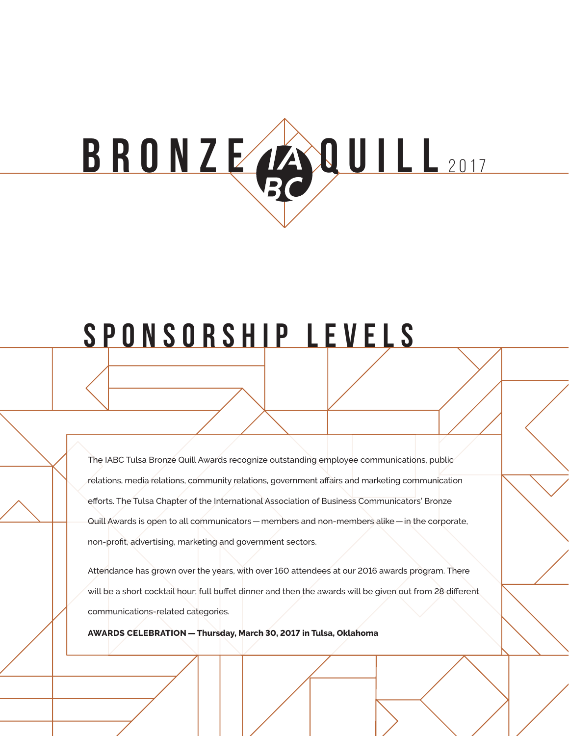# **b r o n z e q ui l l** <sup>201</sup> <sup>7</sup>

# **Sponsorship Levels**

The IABC Tulsa Bronze Quill Awards recognize outstanding employee communications, public relations, media relations, community relations, government affairs and marketing communication efforts. The Tulsa Chapter of the International Association of Business Communicators' Bronze Quill Awards is open to all communicators—members and non-members alike—in the corporate, non-profit, advertising, marketing and government sectors.

Attendance has grown over the years, with over 160 attendees at our 2016 awards program. There will be a short cocktail hour; full buffet dinner and then the awards will be given out from 28 different communications-related categories.

**AWARDS CELEBRATION —Thursday, March 30, 2017 in Tulsa, Oklahoma**